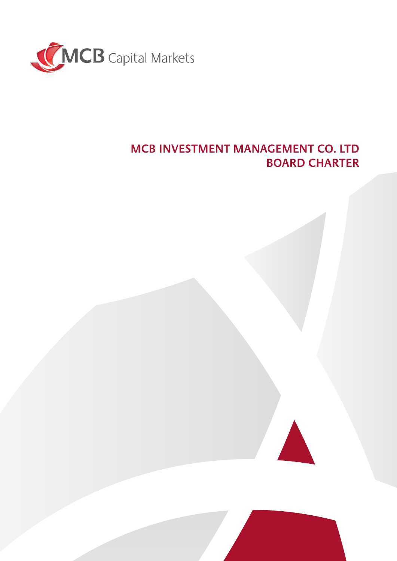

# **MCB INVESTMENT MANAGEMENT CO. LTD BOARD CHARTER**

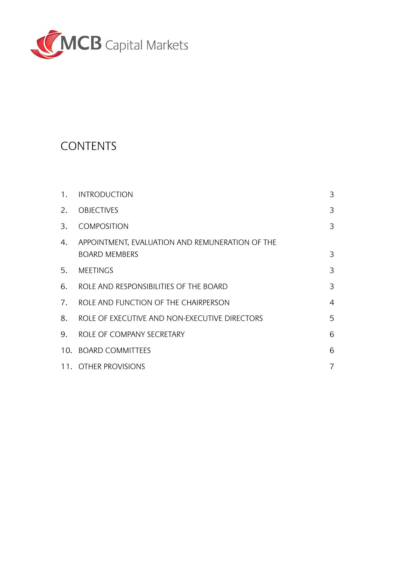

# **CONTENTS**

| 1. | <b>INTRODUCTION</b>                             | 3 |
|----|-------------------------------------------------|---|
| 2. | <b>OBJECTIVES</b>                               | 3 |
| 3. | <b>COMPOSITION</b>                              | 3 |
| 4. | APPOINTMENT, EVALUATION AND REMUNERATION OF THE |   |
|    | <b>BOARD MEMBERS</b>                            | 3 |
| 5. | <b>MEETINGS</b>                                 | 3 |
| 6. | ROLE AND RESPONSIBILITIES OF THE BOARD          | 3 |
| 7. | ROLE AND FUNCTION OF THE CHAIRPERSON            | 4 |
| 8. | ROLE OF EXECUTIVE AND NON-EXECUTIVE DIRECTORS   | 5 |
| 9. | ROLE OF COMPANY SECRETARY                       | 6 |
|    | 10. BOARD COMMITTEES                            | 6 |
|    | 11. OTHER PROVISIONS                            | 7 |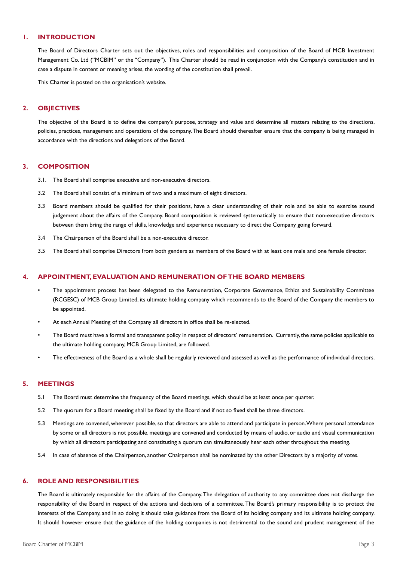#### **1. INTRODUCTION**

The Board of Directors Charter sets out the objectives, roles and responsibilities and composition of the Board of MCB Investment Management Co. Ltd ("MCBIM" or the "Company"). This Charter should be read in conjunction with the Company's constitution and in case a dispute in content or meaning arises, the wording of the constitution shall prevail.

This Charter is posted on the organisation's website.

## **2. OBJECTIVES**

The objective of the Board is to define the company's purpose, strategy and value and determine all matters relating to the directions, policies, practices, management and operations of the company. The Board should thereafter ensure that the company is being managed in accordance with the directions and delegations of the Board.

#### **3. COMPOSITION**

- 3.1. The Board shall comprise executive and non-executive directors.
- 3.2 The Board shall consist of a minimum of two and a maximum of eight directors.
- 3.3 Board members should be qualified for their positions, have a clear understanding of their role and be able to exercise sound judgement about the affairs of the Company. Board composition is reviewed systematically to ensure that non-executive directors between them bring the range of skills, knowledge and experience necessary to direct the Company going forward.
- 3.4 The Chairperson of the Board shall be a non-executive director.
- 3.5 The Board shall comprise Directors from both genders as members of the Board with at least one male and one female director.

#### **4. APPOINTMENT, EVALUATION AND REMUNERATION OF THE BOARD MEMBERS**

- The appointment process has been delegated to the Remuneration, Corporate Governance, Ethics and Sustainability Committee (RCGESC) of MCB Group Limited, its ultimate holding company which recommends to the Board of the Company the members to be appointed.
- At each Annual Meeting of the Company all directors in office shall be re-elected.
- The Board must have a formal and transparent policy in respect of directors' remuneration. Currently, the same policies applicable to the ultimate holding company, MCB Group Limited, are followed.
- The effectiveness of the Board as a whole shall be regularly reviewed and assessed as well as the performance of individual directors.

#### **5. MEETINGS**

- 5.1 The Board must determine the frequency of the Board meetings, which should be at least once per quarter.
- 5.2 The quorum for a Board meeting shall be fixed by the Board and if not so fixed shall be three directors.
- 5.3 Meetings are convened, wherever possible, so that directors are able to attend and participate in person. Where personal attendance by some or all directors is not possible, meetings are convened and conducted by means of audio, or audio and visual communication by which all directors participating and constituting a quorum can simultaneously hear each other throughout the meeting.
- 5.4 In case of absence of the Chairperson, another Chairperson shall be nominated by the other Directors by a majority of votes.

#### **6. ROLE AND RESPONSIBILITIES**

The Board is ultimately responsible for the affairs of the Company. The delegation of authority to any committee does not discharge the responsibility of the Board in respect of the actions and decisions of a committee. The Board's primary responsibility is to protect the interests of the Company, and in so doing it should take guidance from the Board of its holding company and its ultimate holding company. It should however ensure that the guidance of the holding companies is not detrimental to the sound and prudent management of the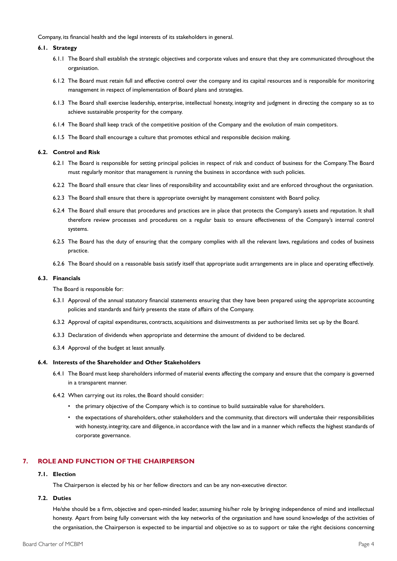Company, its financial health and the legal interests of its stakeholders in general.

#### **6.1. Strategy**

- 6.1.1 The Board shall establish the strategic objectives and corporate values and ensure that they are communicated throughout the organisation.
- 6.1.2 The Board must retain full and effective control over the company and its capital resources and is responsible for monitoring management in respect of implementation of Board plans and strategies.
- 6.1.3 The Board shall exercise leadership, enterprise, intellectual honesty, integrity and judgment in directing the company so as to achieve sustainable prosperity for the company.
- 6.1.4 The Board shall keep track of the competitive position of the Company and the evolution of main competitors.
- 6.1.5 The Board shall encourage a culture that promotes ethical and responsible decision making.

#### **6.2. Control and Risk**

- 6.2.1 The Board is responsible for setting principal policies in respect of risk and conduct of business for the Company. The Board must regularly monitor that management is running the business in accordance with such policies.
- 6.2.2 The Board shall ensure that clear lines of responsibility and accountability exist and are enforced throughout the organisation.
- 6.2.3 The Board shall ensure that there is appropriate oversight by management consistent with Board policy.
- 6.2.4 The Board shall ensure that procedures and practices are in place that protects the Company's assets and reputation. It shall therefore review processes and procedures on a regular basis to ensure effectiveness of the Company's internal control systems.
- 6.2.5 The Board has the duty of ensuring that the company complies with all the relevant laws, regulations and codes of business practice.
- 6.2.6 The Board should on a reasonable basis satisfy itself that appropriate audit arrangements are in place and operating effectively.

#### **6.3. Financials**

The Board is responsible for:

- 6.3.1 Approval of the annual statutory financial statements ensuring that they have been prepared using the appropriate accounting policies and standards and fairly presents the state of affairs of the Company.
- 6.3.2 Approval of capital expenditures, contracts, acquisitions and disinvestments as per authorised limits set up by the Board.
- 6.3.3 Declaration of dividends when appropriate and determine the amount of dividend to be declared.
- 6.3.4 Approval of the budget at least annually.

#### **6.4. Interests of the Shareholder and Other Stakeholders**

- 6.4.1 The Board must keep shareholders informed of material events affecting the company and ensure that the company is governed in a transparent manner.
- 6.4.2 When carrying out its roles, the Board should consider:
	- the primary objective of the Company which is to continue to build sustainable value for shareholders.
	- the expectations of shareholders, other stakeholders and the community, that directors will undertake their responsibilities with honesty, integrity, care and diligence, in accordance with the law and in a manner which reflects the highest standards of corporate governance.

# **7. ROLE AND FUNCTION OF THE CHAIRPERSON**

# **7.1. Election**

The Chairperson is elected by his or her fellow directors and can be any non-executive director.

**7.2. Duties**

He/she should be a firm, objective and open-minded leader, assuming his/her role by bringing independence of mind and intellectual honesty. Apart from being fully conversant with the key networks of the organisation and have sound knowledge of the activities of the organisation, the Chairperson is expected to be impartial and objective so as to support or take the right decisions concerning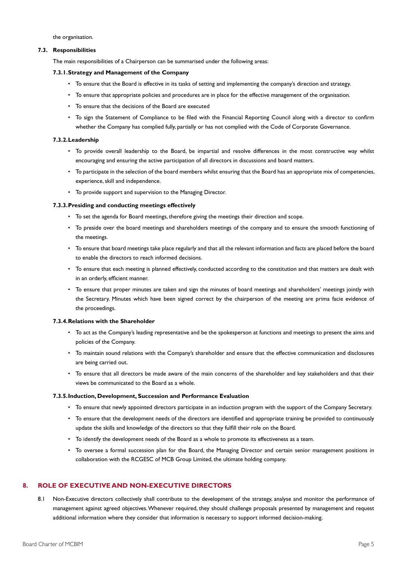the organisation.

#### **7.3. Responsibilities**

The main responsibilities of a Chairperson can be summarised under the following areas:

#### **7.3.1.Strategy and Management of the Company**

- To ensure that the Board is effective in its tasks of setting and implementing the company's direction and strategy.
- To ensure that appropriate policies and procedures are in place for the effective management of the organisation.
- To ensure that the decisions of the Board are executed
- To sign the Statement of Compliance to be filed with the Financial Reporting Council along with a director to confirm whether the Company has complied fully, partially or has not complied with the Code of Corporate Governance.

#### **7.3.2.Leadership**

- To provide overall leadership to the Board, be impartial and resolve differences in the most constructive way whilst encouraging and ensuring the active participation of all directors in discussions and board matters.
- To participate in the selection of the board members whilst ensuring that the Board has an appropriate mix of competencies, experience, skill and independence.
- To provide support and supervision to the Managing Director.

#### **7.3.3.Presiding and conducting meetings effectively**

- To set the agenda for Board meetings, therefore giving the meetings their direction and scope.
- To preside over the board meetings and shareholders meetings of the company and to ensure the smooth functioning of the meetings.
- To ensure that board meetings take place regularly and that all the relevant information and facts are placed before the board to enable the directors to reach informed decisions.
- To ensure that each meeting is planned effectively, conducted according to the constitution and that matters are dealt with in an orderly, efficient manner.
- To ensure that proper minutes are taken and sign the minutes of board meetings and shareholders' meetings jointly with the Secretary. Minutes which have been signed correct by the chairperson of the meeting are prima facie evidence of the proceedings.

#### **7.3.4.Relations with the Shareholder**

- To act as the Company's leading representative and be the spokesperson at functions and meetings to present the aims and policies of the Company.
- To maintain sound relations with the Company's shareholder and ensure that the effective communication and disclosures are being carried out.
- To ensure that all directors be made aware of the main concerns of the shareholder and key stakeholders and that their views be communicated to the Board as a whole.

#### **7.3.5.Induction, Development, Succession and Performance Evaluation**

- To ensure that newly appointed directors participate in an induction program with the support of the Company Secretary.
- To ensure that the development needs of the directors are identified and appropriate training be provided to continuously update the skills and knowledge of the directors so that they fulfill their role on the Board.
- To identify the development needs of the Board as a whole to promote its effectiveness as a team.
- To oversee a formal succession plan for the Board, the Managing Director and certain senior management positions in collaboration with the RCGESC of MCB Group Limited, the ultimate holding company.

## **8. ROLE OF EXECUTIVE AND NON-EXECUTIVE DIRECTORS**

8.1 Non-Executive directors collectively shall contribute to the development of the strategy, analyse and monitor the performance of management against agreed objectives. Whenever required, they should challenge proposals presented by management and request additional information where they consider that information is necessary to support informed decision-making.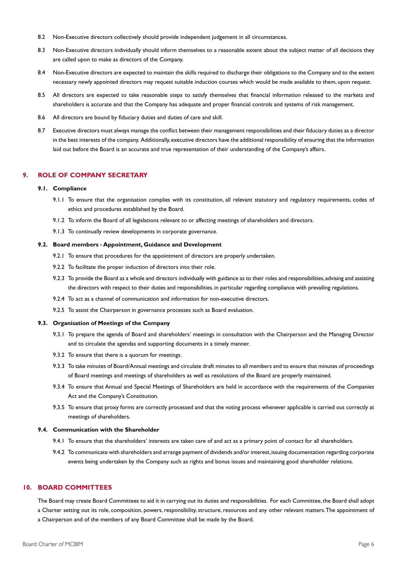- 8.2 Non-Executive directors collectively should provide independent judgement in all circumstances.
- 8.3 Non-Executive directors individually should inform themselves to a reasonable extent about the subject matter of all decisions they are called upon to make as directors of the Company.
- 8.4 Non-Executive directors are expected to maintain the skills required to discharge their obligations to the Company and to the extent necessary newly appointed directors may request suitable induction courses which would be made available to them, upon request.
- 8.5 All directors are expected to take reasonable steps to satisfy themselves that financial information released to the markets and shareholders is accurate and that the Company has adequate and proper financial controls and systems of risk management.
- 8.6 All directors are bound by fiduciary duties and duties of care and skill.
- 8.7 Executive directors must always manage the conflict between their management responsibilities and their fiduciary duties as a director in the best interests of the company. Additionally, executive directors have the additional responsibility of ensuring that the information laid out before the Board is an accurate and true representation of their understanding of the Company's affairs.

# **9. ROLE OF COMPANY SECRETARY**

#### **9.1. Compliance**

- 9.1.1 To ensure that the organisation complies with its constitution, all relevant statutory and regulatory requirements, codes of ethics and procedures established by the Board.
- 9.1.2 To inform the Board of all legislations relevant to or affecting meetings of shareholders and directors.
- 9.1.3 To continually review developments in corporate governance.

#### **9.2. Board members - Appointment, Guidance and Development**

- 9.2.1 To ensure that procedures for the appointment of directors are properly undertaken.
- 9.2.2 To facilitate the proper induction of directors into their role.
- 9.2.3 To provide the Board as a whole and directors individually with guidance as to their roles and responsibilities, advising and assisting the directors with respect to their duties and responsibilities, in particular regarding compliance with prevailing regulations.
- 9.2.4 To act as a channel of communication and information for non-executive directors.
- 9.2.5 To assist the Chairperson in governance processes such as Board evaluation.

#### **9.3. Organisation of Meetings of the Company**

- 9.3.1 To prepare the agenda of Board and shareholders' meetings in consultation with the Chairperson and the Managing Director and to circulate the agendas and supporting documents in a timely manner.
- 9.3.2 To ensure that there is a quorum for meetings.
- 9.3.3 To take minutes of Board/Annual meetings and circulate draft minutes to all members and to ensure that minutes of proceedings of Board meetings and meetings of shareholders as well as resolutions of the Board are properly maintained.
- 9.3.4 To ensure that Annual and Special Meetings of Shareholders are held in accordance with the requirements of the Companies Act and the Company's Constitution.
- 9.3.5 To ensure that proxy forms are correctly processed and that the voting process whenever applicable is carried out correctly at meetings of shareholders.

#### **9.4. Communication with the Shareholder**

- 9.4.1 To ensure that the shareholders' interests are taken care of and act as a primary point of contact for all shareholders.
- 9.4.2 To communicate with shareholders and arrange payment of dividends and/or interest, issuing documentation regarding corporate events being undertaken by the Company such as rights and bonus issues and maintaining good shareholder relations.

#### **10. BOARD COMMITTEES**

The Board may create Board Committees to aid it in carrying out its duties and responsibilities. For each Committee, the Board shall adopt a Charter setting out its role, composition, powers, responsibility, structure, resources and any other relevant matters. The appointment of a Chairperson and of the members of any Board Committee shall be made by the Board.